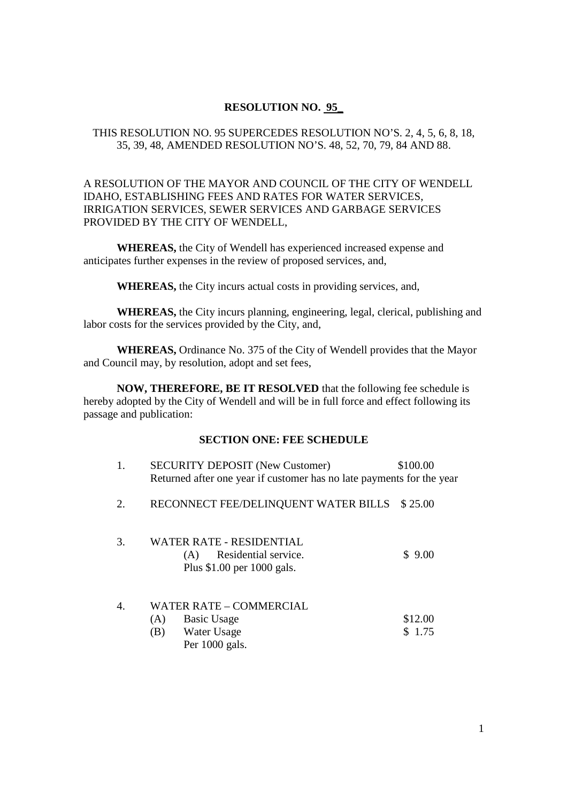## **RESOLUTION NO. 95\_**

## THIS RESOLUTION NO. 95 SUPERCEDES RESOLUTION NO'S. 2, 4, 5, 6, 8, 18, 35, 39, 48, AMENDED RESOLUTION NO'S. 48, 52, 70, 79, 84 AND 88.

## A RESOLUTION OF THE MAYOR AND COUNCIL OF THE CITY OF WENDELL IDAHO, ESTABLISHING FEES AND RATES FOR WATER SERVICES, IRRIGATION SERVICES, SEWER SERVICES AND GARBAGE SERVICES PROVIDED BY THE CITY OF WENDELL,

**WHEREAS,** the City of Wendell has experienced increased expense and anticipates further expenses in the review of proposed services, and,

**WHEREAS,** the City incurs actual costs in providing services, and,

**WHEREAS,** the City incurs planning, engineering, legal, clerical, publishing and labor costs for the services provided by the City, and,

**WHEREAS,** Ordinance No. 375 of the City of Wendell provides that the Mayor and Council may, by resolution, adopt and set fees,

**NOW, THEREFORE, BE IT RESOLVED** that the following fee schedule is hereby adopted by the City of Wendell and will be in full force and effect following its passage and publication:

## **SECTION ONE: FEE SCHEDULE**

| 1. | <b>SECURITY DEPOSIT (New Customer)</b><br>Returned after one year if customer has no late payments for the year | \$100.00          |
|----|-----------------------------------------------------------------------------------------------------------------|-------------------|
| 2. | RECONNECT FEE/DELINQUENT WATER BILLS                                                                            | \$25.00           |
| 3. | WATER RATE - RESIDENTIAL<br>Residential service.<br>(A)<br>Plus $$1.00$ per 1000 gals.                          | \$9.00            |
| 4. | <b>WATER RATE - COMMERCIAL</b><br>(A)<br><b>Basic Usage</b><br>(B)<br>Water Usage<br>Per 1000 gals.             | \$12.00<br>\$1.75 |